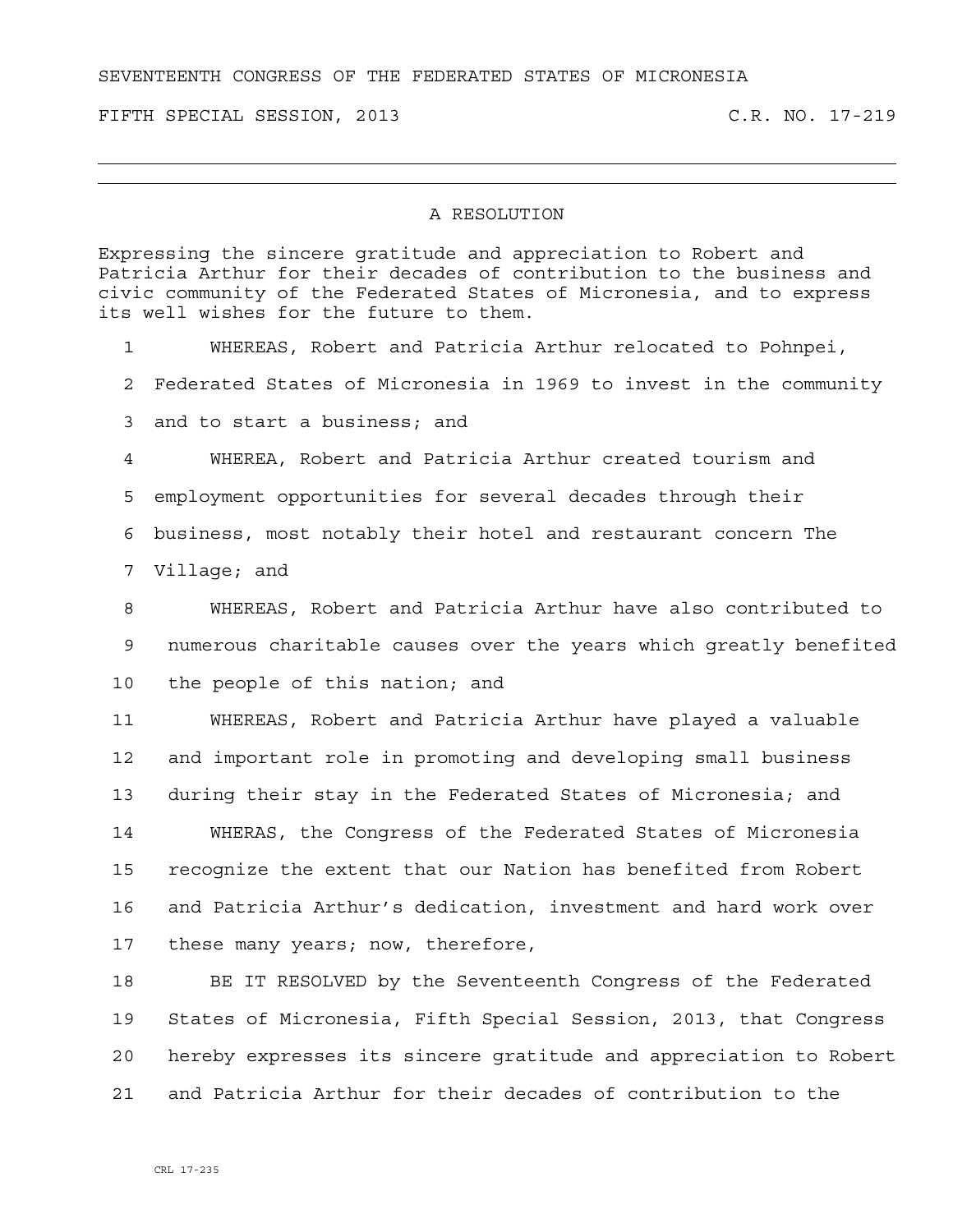SEVENTEENTH CONGRESS OF THE FEDERATED STATES OF MICRONESIA

FIFTH SPECIAL SESSION, 2013 C.R. NO. 17-219

## A RESOLUTION

Expressing the sincere gratitude and appreciation to Robert and Patricia Arthur for their decades of contribution to the business and civic community of the Federated States of Micronesia, and to express its well wishes for the future to them.

1 WHEREAS, Robert and Patricia Arthur relocated to Pohnpei,

2 Federated States of Micronesia in 1969 to invest in the community

3 and to start a business; and

4 WHEREA, Robert and Patricia Arthur created tourism and 5 employment opportunities for several decades through their 6 business, most notably their hotel and restaurant concern The 7 Village; and

8 WHEREAS, Robert and Patricia Arthur have also contributed to 9 numerous charitable causes over the years which greatly benefited 10 the people of this nation; and

11 WHEREAS, Robert and Patricia Arthur have played a valuable 12 and important role in promoting and developing small business 13 during their stay in the Federated States of Micronesia; and 14 WHERAS, the Congress of the Federated States of Micronesia 15 recognize the extent that our Nation has benefited from Robert 16 and Patricia Arthur's dedication, investment and hard work over 17 these many years; now, therefore,

18 BE IT RESOLVED by the Seventeenth Congress of the Federated 19 States of Micronesia, Fifth Special Session, 2013, that Congress 20 hereby expresses its sincere gratitude and appreciation to Robert 21 and Patricia Arthur for their decades of contribution to the